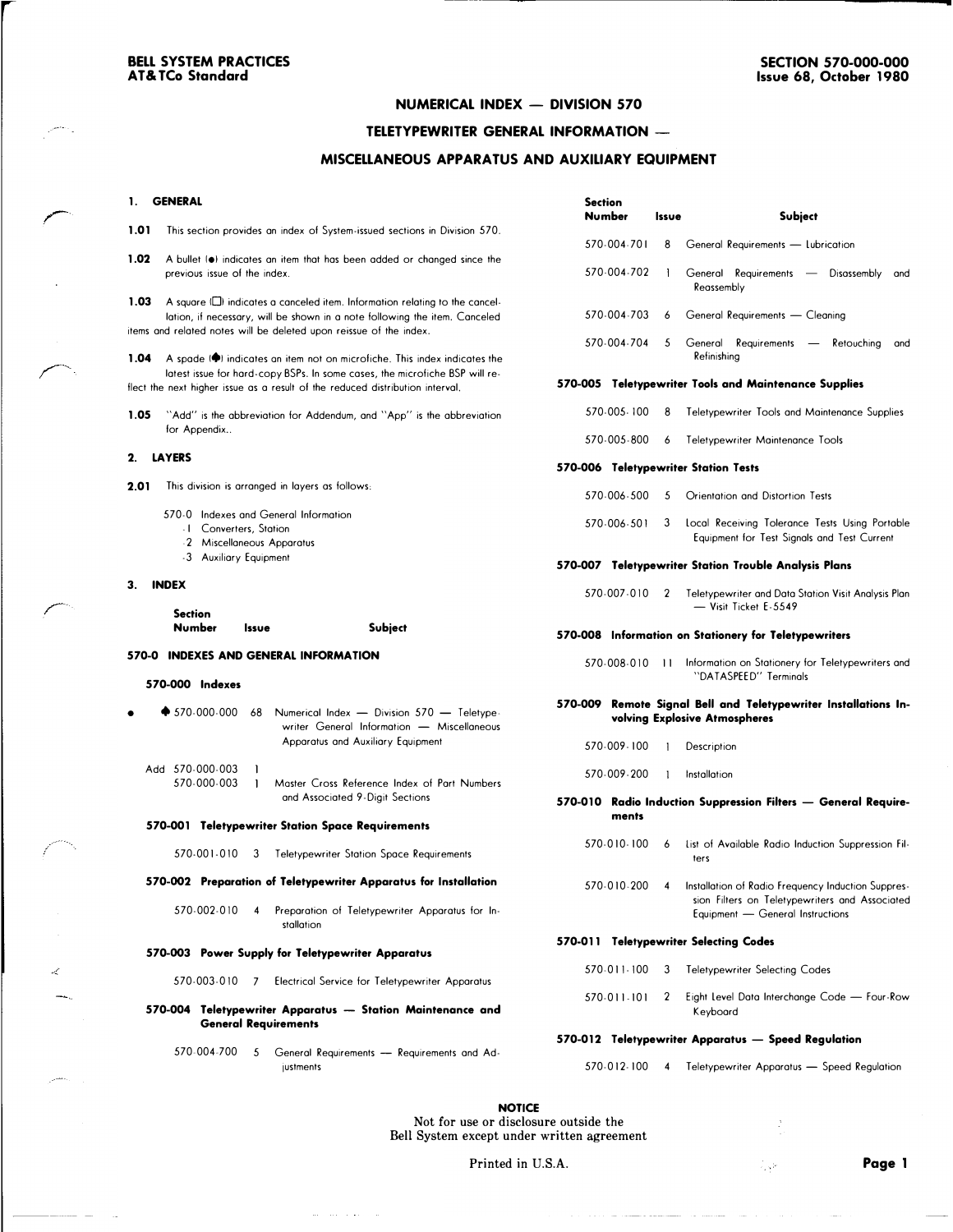### NUMERICAL INDEX - DIVISION 570

### TELETYPEWRITER GENERAL INFORMATION

#### MISCELLANEOUS APPARATUS AND AUXILIARY EQUIPMENT

#### 1. GENERAL

1.01 This section provides an index of System-issued sections in Division 570.

1.02 A bullet ( $\bullet$ ) indicates an item that has been added or changed since the previous issue of the index.

1.03 A square (C) indicates a canceled item. Information relating to the cancellotion, if necessary, will be shown in a note following the item. Canceled items and related notes will be deleted upon reissue of the index.

1.04 A spade ( $\blacklozenge$ ) indicates an item not on microfiche. This index indicates the latest issue for hard-copy BSPs. In some cases, the microfiche BSP will reflect the next higher issue as a result of the reduced distribution interval.

1.05 "Add" is the abbreviation for Addendum, and "App" is the abbreviation for Appendix..

#### 2. LAYERS

2.01 This division is arranged in layers as follows:

- 570-0 Indexes and General Information
	- I Converters, Station
	- -2 Miscellaneous Apparatus
	- -3 Auxiliary Equipment

#### 3. INDEX

| <b>Section</b> |       |         |
|----------------|-------|---------|
| Number         | Issue | Subject |

#### 570-0 INDEXES AND GENERAL INFORMATION

#### 570-000 Indexes

- $\spadesuit$  570-000-000 68 Numerical Index - Division 570 - Teletypewriter General Information - Miscellaneous Apparatus and Auxiliary Equipment
	- Add 570-000-003 570-000-003 Moster Cross Reference Index of Port Numbers and Associated 9-Digit Sections

#### 570-001 Teletypewriter Station Space Requirements

570-001-010 3 Teletypewriter Station Space Requirements

#### 570-002 Preparation of Teletypewriter Apparatus for Installation

570-002-010 4 Preparation of Teletypewriter Apparatus for Installation

#### 570-003 Power Supply for Teletypewriter Apparatus

570-003-010 7 Electrical Service for Teletypewriter Apparatus

570-004 Teletypewriter Apparatus - Station Maintenance and General Requirements

570-004-700 5 General Requirements - Requirements and Adjustments

| <b>Section</b><br>Number             | Issue        | <b>Subject</b>                                                                                                                           |
|--------------------------------------|--------------|------------------------------------------------------------------------------------------------------------------------------------------|
| 570-004-701                          | 8            | General Requirements - Lubrication                                                                                                       |
| 570-004-702                          | Ł            | General Requirements — Disassembly<br>and<br>Reassembly                                                                                  |
| 570-004-703                          | 6            | General Requirements - Cleaning                                                                                                          |
| 570-004-704                          | 5            | General<br>Requirements - Retouching<br>and<br>Refinishing                                                                               |
|                                      |              | 570-005 Teletypewriter Tools and Maintenance Supplies                                                                                    |
| 570-005-100                          | 8            | Teletypewriter Tools and Maintenance Supplies                                                                                            |
| 570-005-800                          | 6            | Teletypewriter Maintenance Tools                                                                                                         |
| 570-006 Teletypewriter Station Tests |              |                                                                                                                                          |
| 570-006-500                          | 5            | Orientation and Distortion Tests                                                                                                         |
| 570-006-501                          | 3            | Local Receiving Tolerance Tests Using Portable<br>Equipment for Test Signals and Test Current                                            |
|                                      |              | 570-007 Teletypewriter Station Trouble Analysis Plans                                                                                    |
| 570-007-010                          | 2            | Teletypewriter and Data Station Visit Analysis Plan<br>- Visit Ticket F-5549                                                             |
|                                      |              | 570-008 Information on Stationery for Teletypewriters                                                                                    |
| 570-008-010                          | $\mathbf{1}$ | Information on Stationery for Teletypewriters and<br>"DATASPEED" Terminals                                                               |
|                                      |              | 570-009 Remote Signal Bell and Teletypewriter Installations In-<br>volving Explosive Atmospheres                                         |
| 570-009-100                          | 1            | Description                                                                                                                              |
| 570-009-200                          | 1            | Installation                                                                                                                             |
| ments                                |              | 570-010 Radio Induction Suppression Filters — General Require-                                                                           |
| 570-010-100                          | 6            | List of Available Radio Induction Suppression Fil-<br>ters                                                                               |
| 570-010-200                          | 4            | Installation of Radio Frequency Induction Suppres-<br>sion Filters on Teletypewriters and Associated<br>Equipment - General Instructions |
| 570-011                              |              | <b>Teletypewriter Selecting Codes</b>                                                                                                    |
| 570-011-100                          | 3            | <b>Teletypewriter Selecting Codes</b>                                                                                                    |
| 570-011-101                          | 2            | Eight Level Data Interchange Code - Four-Row<br>Keyboard                                                                                 |
|                                      |              | 570-012 Teletypewriter Apparatus — Speed Regulation                                                                                      |
| 570-012-100                          | 4            | Teletypewriter Apparatus - Speed Regulation                                                                                              |

**NOTICE** Not for use or disclosure outside the Bell System except under written agreement

Printed in U.S.A. **Printed in U.S.A. Page 1**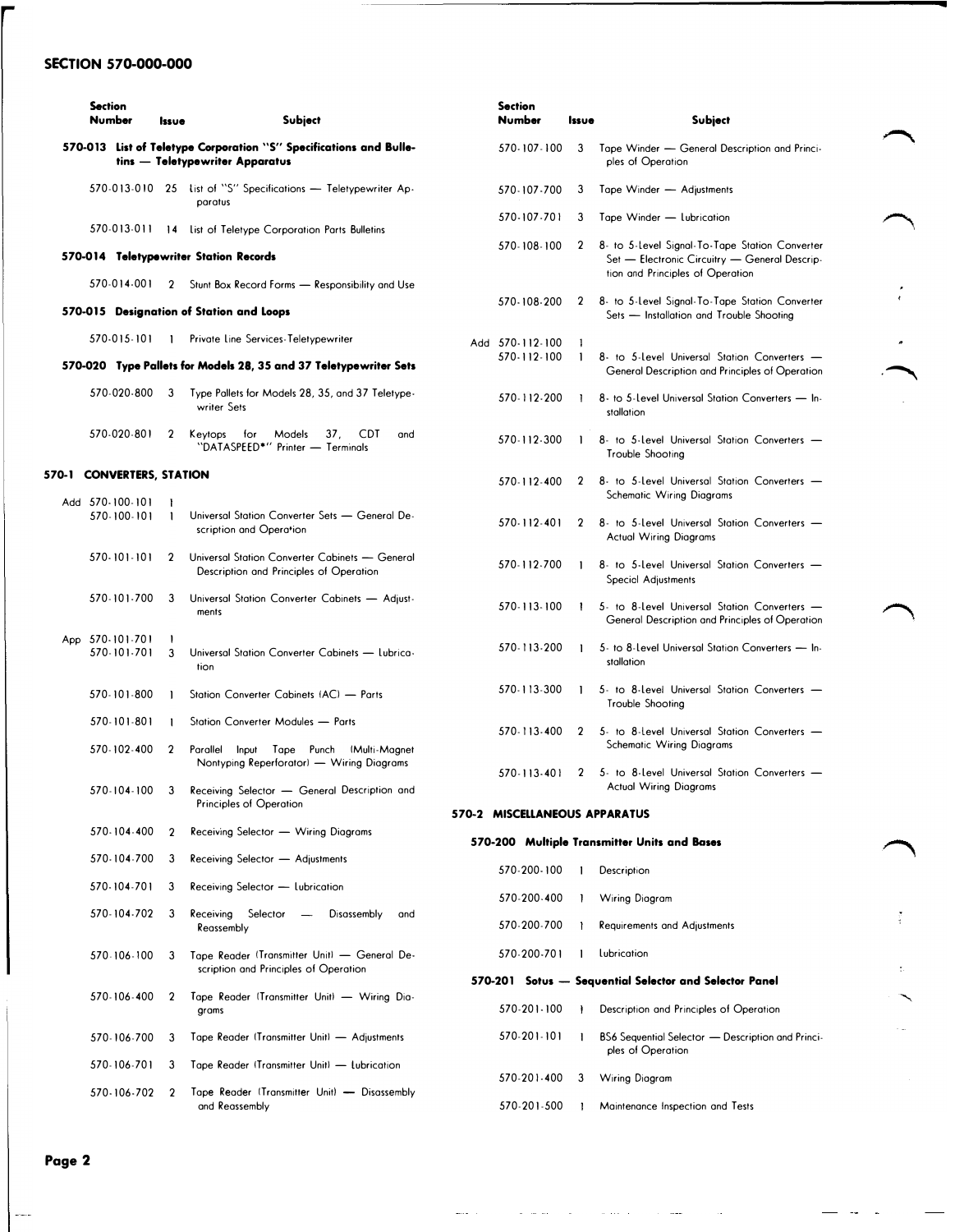## SECTION 570-000-000

|       | <b>Section</b><br>Number |                                | Issue        | Subject                                                                                          |
|-------|--------------------------|--------------------------------|--------------|--------------------------------------------------------------------------------------------------|
|       | 570-013                  |                                |              | List of Teletype Corporation "S" Specifications and Bulle-<br>tins - Teletypewriter Apparatus    |
|       |                          | 570-013-010                    | 25           | list of "S" Specifications - Teletypewriter Ap-<br>paratus                                       |
|       |                          | 570-013-011                    | 14           | List of Teletype Corporation Parts Bulletins                                                     |
|       |                          |                                |              | 570-014 Teletypewriter Station Records                                                           |
|       |                          | 570-014-001                    | $\mathbf 2$  | Stunt Box Record Forms - Responsibility and Use                                                  |
|       |                          |                                |              | 570-015 Designation of Station and Loops                                                         |
|       |                          | 570-015-101                    | 1            | Private Line Services-Teletypewriter                                                             |
|       |                          |                                |              | 570-020 Type Pallets for Models 28, 35 and 37 Teletypewriter Sets                                |
|       |                          | 570-020-800                    | 3            | Type Pallets for Models 28, 35, and 37 Teletype-<br>writer Sets                                  |
|       |                          | 570-020-801                    | $\mathbf{2}$ | 37.<br>Keytops<br>for<br>Models<br>CDT.<br>and<br>"DATASPEED*" Printer - Terminals               |
| 570-1 |                          | <b>CONVERTERS, STATION</b>     |              |                                                                                                  |
|       |                          | Add 570-100-101<br>570-100-101 | ł<br>1       | Universal Station Converter Sets - General De-<br>scription and Operation                        |
|       |                          | 570-101-101                    | 2            | Universal Station Converter Cabinets - General<br>Description and Principles of Operation        |
|       |                          | 570-101-700                    | 3            | Universal Station Converter Cabinets - Adjust-<br>ments                                          |
|       |                          | App 570-101-701<br>570-101-701 | 1<br>3       | Universal Station Converter Cabinets - Lubrica-<br>tion                                          |
|       |                          | 570-101-800                    | 1            | Station Converter Cabinets (AC) - Parts                                                          |
|       |                          | 570-101-801                    | 1            | Station Converter Modules - Parts                                                                |
|       |                          | 570-102-400                    | 2            | Parallel<br>Tape<br>Punch<br>(Multi-Magnet<br>Input<br>Nontyping Reperforator) - Wiring Diagrams |
|       |                          | 570-104-100                    | $\mathbf{3}$ | Receiving Selector - General Description and<br>Principles of Operation                          |
|       |                          | 570-104-400                    | 2            | Receiving Selector - Wiring Diagrams                                                             |
|       |                          | 570-104-700                    | 3            | Receiving Selector - Adjustments                                                                 |
|       |                          | 570-104-701                    | 3            | Receiving Selector - Lubrication                                                                 |
|       |                          | 570-104-702                    | 3            | Selector<br>Receiving<br>Disassembly<br>$\overline{\phantom{a}}$<br>and<br>Reassembly            |
|       |                          | 570-106-100                    | 3            | Tape Reader (Transmitter Unit) - General De-<br>scription and Principles of Operation            |
|       |                          | 570-106-400                    | 2            | Tape Reader (Transmitter Unit) - Wiring Dia-<br>grams                                            |
|       |                          | 570-106-700                    | 3            | Tape Reader (Transmitter Unit) - Adjustments                                                     |
|       |                          | 570-106-701                    | 3            | Tape Reader (Transmitter Unit) - Lubrication                                                     |
|       |                          | 570-106-702                    | 2            | Tape Reader (Transmitter Unit) - Disassembly<br>and Reassembly                                   |

| <b>Section</b><br>Number       | Issue        | Subject                                                                                                                             |
|--------------------------------|--------------|-------------------------------------------------------------------------------------------------------------------------------------|
| 570-107-100                    | 3            | Tape Winder - General Description and Princi-<br>ples of Operation                                                                  |
| 570-107-700                    | 3            | Tape Winder - Adjustments                                                                                                           |
| 570-107-701                    | 3            | Tape Winder - Lubrication                                                                                                           |
| 570-108-100                    | 2            | 8- to 5-Level Signal-To-Tape Station Converter<br>Set - Electronic Circuitry - General Descrip-<br>tion and Principles of Operation |
| 570-108-200                    | $\mathbf{2}$ | 8- to 5-Level Signal-To-Tape Station Converter<br>Sets - Installation and Trouble Shooting                                          |
| Add 570-112-100<br>570-112-100 | 1<br>1       | 8- to 5-Level Universal Station Converters -<br>General Description and Principles of Operation                                     |
| 570-112-200                    | L            | 8- to 5-Level Universal Station Converters - In-<br>stallation                                                                      |
| 570-112-300                    | L            | 8- to 5-Level Universal Station Converters -<br>Trouble Shooting                                                                    |
| 570-112-400                    | 2            | 8- to 5-Level Universal Station Converters -<br><b>Schematic Wiring Diagrams</b>                                                    |
| 570-112-401                    | 2            | 8- to 5-Level Universal Station Converters -<br><b>Actual Wiring Diagrams</b>                                                       |
| 570-112-700                    | 1            | 8- to 5-Level Universal Station Converters -<br>Special Adjustments                                                                 |
| 570-113-100                    | Ł            | 5- to 8-Level Universal Station Converters -<br>General Description and Principles of Operation                                     |
| 570-113-200                    | 1            | 5- to 8-Level Universal Station Converters - In-<br>stallation                                                                      |
| 570-113-300                    | 1            | 5- to 8-Level Universal Station Converters -<br>Trouble Shooting                                                                    |
| 570-113-400                    | 2            | 5- to 8-Level Universal Station Converters -<br><b>Schematic Wiring Diagrams</b>                                                    |
| 570-113-401                    | 2            | 5- to 8-Level Universal Station Converters -<br><b>Actual Wiring Diagrams</b>                                                       |
| 570-2 MISCELLANEOUS APPARATUS  |              |                                                                                                                                     |
|                                |              | 570-200 Multiple Transmitter Units and Bases                                                                                        |
| 570-200-100                    | ı            | Description                                                                                                                         |
| 570-200-400                    | 1            | Wiring Diagram                                                                                                                      |
| 570-200-700                    | L            | <b>Requirements and Adjustments</b>                                                                                                 |
| 570-200-701                    | L            | Lubrication                                                                                                                         |
| 570-201                        |              | Sotus - Sequential Selector and Selector Panel                                                                                      |
| 570-201-100                    | ł            | Description and Principles of Operation                                                                                             |
| 570-201-101                    | 1            | BS6 Sequential Selector - Description and Princi-<br>ples of Operation                                                              |
| 570-201-400                    | 3            | Wiring Diagram                                                                                                                      |

·�

570-201-500 Maintenance Inspection and Tests

Page 2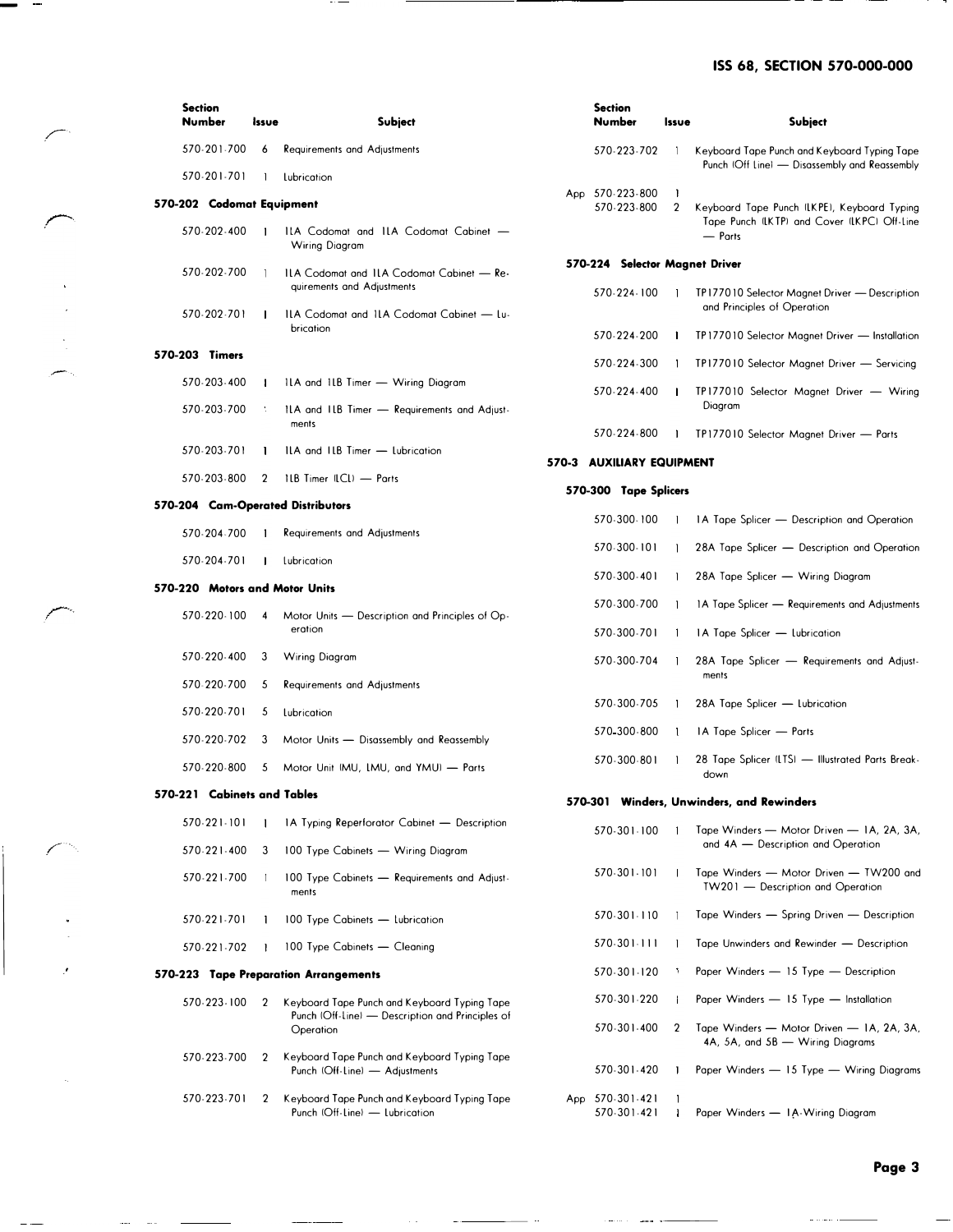# ISS 68, SECTION 570-000-000

| <b>Section</b><br><b>Number</b>   | Issue        | <b>Subject</b>                                                                 | <b>Section</b> | Number                         | Issue               | Subject                                                                                       |
|-----------------------------------|--------------|--------------------------------------------------------------------------------|----------------|--------------------------------|---------------------|-----------------------------------------------------------------------------------------------|
| 570-201-700                       | 6            | <b>Requirements and Adjustments</b>                                            |                | 570-223-702                    | $\mathbf{I}$        | Keyboard Tape Punch and Keyboard Typing Tape<br>Punch (Off Line) - Disassembly and Reassembly |
| 570-201-701                       | $\mathbf{I}$ | Lubrication                                                                    |                |                                |                     |                                                                                               |
| 570-202 Codomat Equipment         |              |                                                                                |                | App 570-223-800<br>570-223-800 | 1<br>$\overline{2}$ | Keyboard Tape Punch (LKPE), Keyboard Typing<br>Tape Punch (LKTP) and Cover (LKPC) Off-Line    |
| 570-202-400                       | -1           | ILA Codomat and ILA Codomat Cabinet -<br><b>Wiring Diagram</b>                 |                |                                |                     | — Parts                                                                                       |
| 570-202-700                       | -1           | ILA Codomat and ILA Codomat Cabinet - Re-<br>quirements and Adjustments        |                |                                |                     | 570-224 Selector Magnet Driver                                                                |
| 570-202-701                       | -1           | ILA Codomat and ILA Codomat Cabinet - Lu-<br>brication                         |                | 570-224-100                    | $\mathbf{I}$        | TP177010 Selector Magnet Driver - Description<br>and Principles of Operation                  |
|                                   |              |                                                                                |                | 570-224-200                    | $\mathbf{I}$        | TP177010 Selector Magnet Driver - Installation                                                |
| 570-203 Timers<br>570-203-400     | $\mathbf{I}$ | ILA and ILB Timer - Wiring Diagram                                             |                | 570-224-300                    | $\mathbf{1}$        | TP177010 Selector Magnet Driver - Servicing                                                   |
| 570-203-700                       | <b>P</b>     | ILA and ILB Timer - Requirements and Adjust-                                   |                | 570-224-400                    | $\mathbf{1}$        | TP177010 Selector Magnet Driver - Wiring<br>Diagram                                           |
| 570-203-701                       | $\mathbf{I}$ | ments<br>ILA and ILB Timer - Lubrication                                       |                | 570-224-800                    | $\mathbf{1}$        | TP177010 Selector Magnet Driver - Parts                                                       |
|                                   |              |                                                                                |                | 570-3 AUXILIARY EQUIPMENT      |                     |                                                                                               |
| 570-203-800                       | 2            | 1LB Timer (LCL) - Parts                                                        |                | 570-300 Tape Splicers          |                     |                                                                                               |
| 570-204 Cam-Operated Distributors |              |                                                                                |                |                                |                     |                                                                                               |
|                                   |              |                                                                                |                | 570-300-100                    |                     | 1A Tape Splicer — Description and Operation                                                   |
| 570-204-700<br>570-204-701        | $\mathbf{1}$ | <b>Requirements and Adjustments</b><br>Lubrication                             |                | 570-300-101                    |                     | 28A Tape Splicer - Description and Operation                                                  |
|                                   |              |                                                                                |                | 570-300-401                    | -1                  | 28A Tape Splicer — Wiring Diagram                                                             |
| 570-220 Motors and Motor Units    |              |                                                                                |                | 570-300-700                    |                     | 1A Tape Splicer - Requirements and Adjustments                                                |
| 570-220-100                       | 4            | Motor Units - Description and Principles of Op-<br>eration                     |                | 570-300-701                    |                     | 1A Tape Splicer - Lubrication                                                                 |
| 570-220-400                       | 3            | <b>Wiring Diagram</b>                                                          |                | 570-300-704                    |                     | 28A Tape Splicer - Requirements and Adjust-<br>ments                                          |
| 570-220-700                       | 5            | <b>Requirements and Adjustments</b>                                            |                |                                |                     |                                                                                               |
| 570-220-701                       | 5            | Lubrication                                                                    |                | 570-300-705                    |                     | 28A Tape Splicer - Lubrication                                                                |
| 570-220-702                       | 3            | Motor Units - Disassembly and Reassembly                                       |                | 570-300-800                    |                     | IA Tape Splicer - Parts                                                                       |
| 570-220-800                       | 5            | Motor Unit (MU, LMU, and YMU) - Parts                                          |                | 570-300-801                    |                     | 28 Tape Splicer (LTS) - Illustrated Parts Break-<br>down                                      |
| 570-221 Cabinets and Tables       |              |                                                                                |                |                                |                     | 570-301 Winders, Unwinders, and Rewinder                                                      |
| 570-221-101                       |              | 1A Typing Reperforator Cabinet - Description                                   |                | 570-301-100                    | $\overline{1}$      | Tape Winders - Motor Driven - IA, 2A, 3A,                                                     |
| 570-221-400                       | 3            | 100 Type Cabinets - Wiring Diagram                                             |                |                                |                     | and 4A - Description and Operation                                                            |
| 570-221-700                       |              | 100 Type Cabinets - Requirements and Adjust-<br>ments                          |                | 570-301-101                    |                     | Tape Winders - Motor Driven - TW200 and<br>TW201 - Description and Operation                  |
| 570-221-701                       |              | 100 Type Cabinets - Lubrication                                                |                | 570-301-110                    |                     | Tape Winders - Spring Driven - Description                                                    |
| 570-221-702                       |              | 100 Type Cabinets - Cleaning                                                   |                | 570-301-111                    |                     | Tape Unwinders and Rewinder - Description                                                     |
|                                   |              | 570-223 Tape Preparation Arrangements                                          |                | 570-301-120                    |                     | Paper Winders - 15 Type - Description                                                         |
| 570-223-100                       | 2            | Keyboard Tape Punch and Keyboard Typing Tape                                   |                | 570-301-220                    |                     | Paper Winders - 15 Type - Installation                                                        |
|                                   |              | Punch (Off-Line) - Description and Principles of<br>Operation                  |                | 570-301-400                    | 2                   | Tape Winders - Motor Driven - IA, 2A, 3A,<br>4A, 5A, and 5B - Wiring Diagrams                 |
| 570-223-700                       | 2            | Keyboard Tape Punch and Keyboard Typing Tape<br>Punch (Off-Line) - Adjustments |                | 570-301-420                    |                     | Paper Winders - 15 Type - Wiring Diagrams                                                     |
| 570-223-701                       | 2            | Keyboard Tape Punch and Keyboard Typing Tape<br>Punch (Off-Line) - Lubrication |                | App 570-301-421<br>570-301-421 |                     | Paper Winders - IA-Wiring Diagram                                                             |

- Albertan

.<br>Kabupatèn Kabupatèn

 $\sim$   $\sim$ 

فستستعد والمتعارف

 $\sim$  and  $\sim$ 

 $\overline{\phantom{a}}$ 

 $\overline{\phantom{a}}$ 

.�-·

 $\sqrt{2}$ 

ياسفر

�--

 $\overline{\phantom{a}}$ 

 $\mathsf{I}$ 

·'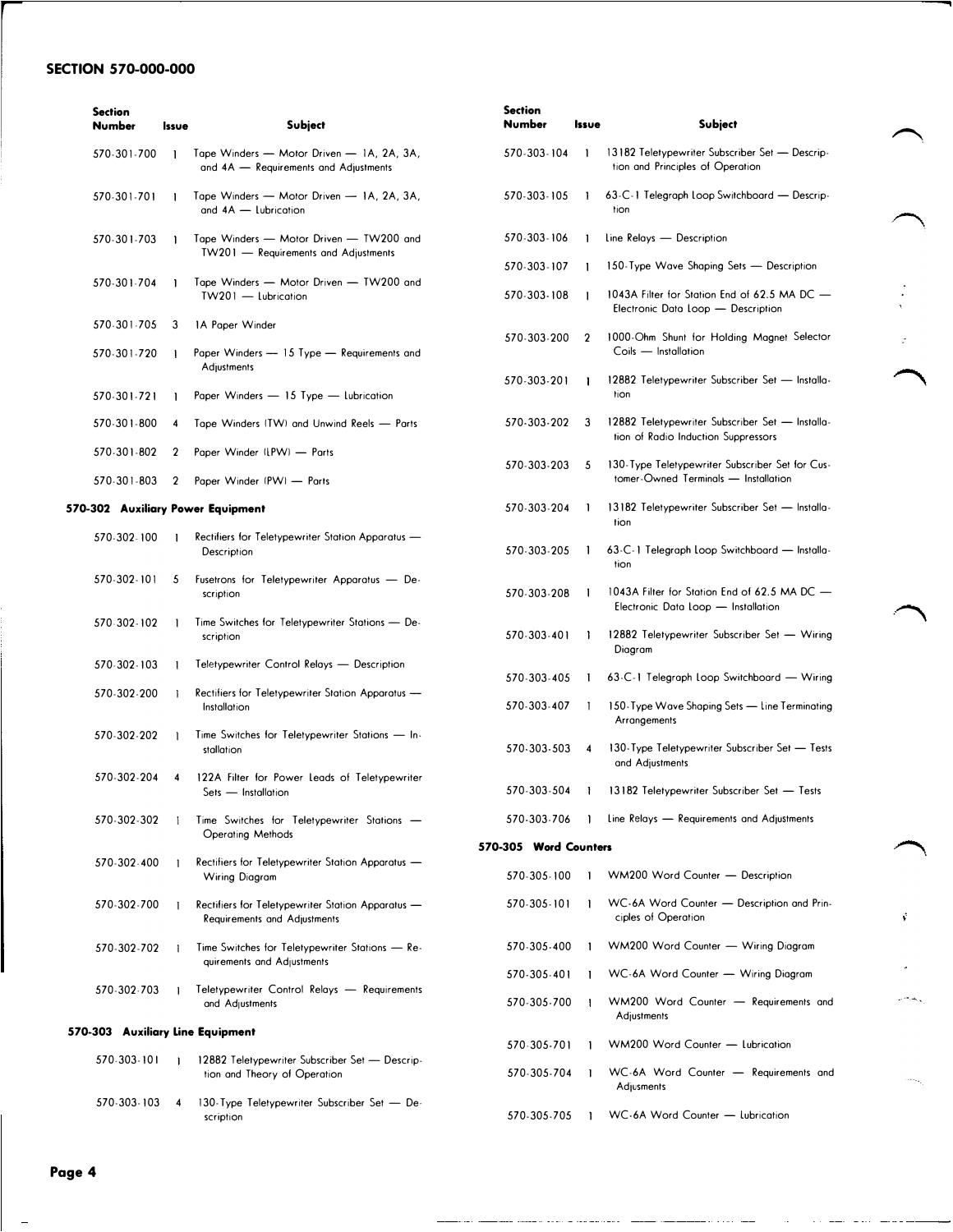## SECTION 570-000-000

| <b>Section</b><br><b>Number</b> | Issue          | <b>Subject</b>                                                                           | Section<br><b>Number</b> | Issue        | <b>Subject</b>                                                                         |  |
|---------------------------------|----------------|------------------------------------------------------------------------------------------|--------------------------|--------------|----------------------------------------------------------------------------------------|--|
| 570-301-700                     | $\mathbf{1}$   | Tape Winders - Motor Driven - 1A, 2A, 3A,<br>and 4A - Requirements and Adjustments       | 570-303-104              | -1           | 13182 Teletypewriter Subscriber Set - Descrip-<br>tion and Principles of Operation     |  |
| 570-301-701                     | 1              | Tape Winders - Motor Driven - 1A, 2A, 3A,<br>and 4A - Lubrication                        | 570-303-105              | $\mathbf{1}$ | 63-C-1 Telegraph Loop Switchboard - Descrip-<br>tion                                   |  |
| 570-301-703                     | -1             | Tape Winders - Motor Driven - TW200 and<br>TW201 - Requirements and Adjustments          | 570-303-106              | $\mathbf{1}$ | Line Relays - Description                                                              |  |
|                                 |                |                                                                                          | 570-303-107              | -1           | 150-Type Wave Shaping Sets - Description                                               |  |
| 570-301-704                     |                | Tape Winders - Motor Driven - TW200 and<br>TW201 - Lubrication                           | 570-303-108              |              | 1043A Filter for Station End of 62.5 MA DC -<br>Electronic Data Loop - Description     |  |
| 570-301-705                     | -3             | 1A Paper Winder                                                                          | 570-303-200              | 2            | 1000-Ohm Shunt for Holding Magnet Selector                                             |  |
| 570-301-720                     |                | Paper Winders - 15 Type - Requirements and<br>Adjustments                                |                          |              | Coils - Installation                                                                   |  |
| 570-301-721                     |                | Paper Winders - 15 Type - Lubrication                                                    | 570-303-201              |              | 12882 Teletypewriter Subscriber Set - Installa-<br>tion                                |  |
| 570-301-800                     | 4              | Tape Winders (TW) and Unwind Reels - Parts                                               | 570-303-202              | 3            | 12882 Teletypewriter Subscriber Set - Installa-<br>tion of Radio Induction Suppressors |  |
| 570.301-802                     | $\overline{2}$ | Paper Winder (LPW) - Parts                                                               | 570-303-203              | 5            | 130-Type Teletypewriter Subscriber Set for Cus-                                        |  |
| 570-301-803                     | 2              | Paper Winder (PW) - Parts                                                                |                          |              | tomer-Owned Terminals - Installation                                                   |  |
|                                 |                | 570-302 Auxiliary Power Equipment                                                        | 570-303-204              | -1           | 13182 Teletypewriter Subscriber Set - Installa-<br>tion                                |  |
| 570-302-100                     |                | Rectifiers for Teletypewriter Station Apparatus -<br>Description                         | 570-303-205              |              | 63-C-1 Telegraph Loop Switchboard - Installa-<br>tion                                  |  |
| 570-302-101                     | 5              | Fusetrons for Teletypewriter Apparatus - De-<br>scription                                | 570-303-208              | -1           | 1043A Filter for Station End of 62.5 MA DC -<br>Electronic Data Loop - Installation    |  |
| 570-302-102                     | 1              | Time Switches for Teletypewriter Stations - De-<br>scription                             | 570-303-401              |              | 12882 Teletypewriter Subscriber Set - Wiring<br>Diagram                                |  |
| 570-302-103                     |                | Teletypewriter Control Relays - Description                                              | 570-303-405              |              | 63-C-1 Telegraph Loop Switchboard - Wiring                                             |  |
| 570-302-200                     |                | Rectifiers for Teletypewriter Station Apparatus -<br>Installation                        | 570-303-407              |              | 150-Type Wave Shaping Sets - Line Terminating                                          |  |
| 570-302-202                     | -1             | Time Switches for Teletypewriter Stations - In-<br>stallation                            | 570-303-503              | 4            | Arrangements<br>130-Type Teletypewriter Subscriber Set - Tests<br>and Adjustments      |  |
| 570-302-204                     | 4              | 122A Filter for Power Leads of Teletypewriter<br>Sets - Installation                     | 570-303-504              | $\mathbf{r}$ | 13182 Teletypewriter Subscriber Set - Tests                                            |  |
| 570-302-302                     |                | Time Switches for Teletypewriter Stations -                                              | 570-303-706              |              | Line Relays - Requirements and Adjustments                                             |  |
|                                 |                | <b>Operating Methods</b>                                                                 | 570-305 Word Counters    |              |                                                                                        |  |
| 570-302-400                     |                | Rectifiers for Teletypewriter Station Apparatus -<br>Wiring Diagram                      | 570-305-100              |              | WM200 Word Counter - Description                                                       |  |
| 570-302-700                     |                | Rectifiers for Teletypewriter Station Apparatus -<br><b>Requirements and Adjustments</b> | 570-305-101              |              | WC-6A Word Counter - Description and Prin-<br>ciples of Operation                      |  |
| 570-302-702                     |                | Time Switches for Teletypewriter Stations - Re-<br>quirements and Adjustments            | 570-305-400              |              | WM200 Word Counter - Wiring Diagram                                                    |  |
|                                 |                |                                                                                          | 570-305-401              |              | WC-6A Word Counter - Wiring Diagram                                                    |  |
| 570-302-703                     |                | Teletypewriter Control Relays - Requirements<br>and Adjustments                          | 570-305-700              |              | WM200 Word Counter - Requirements and<br>Adjustments                                   |  |
|                                 |                | 570-303 Auxiliary Line Equipment                                                         | 570-305-701              |              | WM200 Word Counter - Lubrication                                                       |  |
| 570-303-101                     |                | 12882 Teletypewriter Subscriber Set - Descrip-<br>tion and Theory of Operation           | 570-305-704              |              | WC-6A Word Counter - Requirements and<br>Adjusments                                    |  |
| 570-303-103                     |                | 130-Type Teletypewriter Subscriber Set - De-<br>scription                                | 570-305-705              | -1           | WC-6A Word Counter - Lubrication                                                       |  |

 $\frown$ 

 $\curvearrowright$ 

 $\hat{\mathbf{v}}$ 

للمناصب

Page 4

 $\frac{1}{2}$